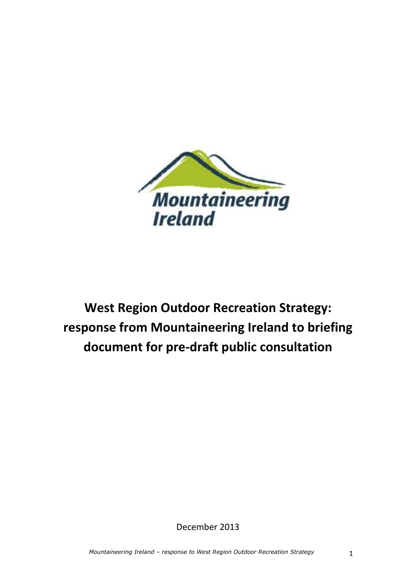

**West Region Outdoor Recreation Strategy: response from Mountaineering Ireland to briefing document for pre-draft public consultation**

December 2013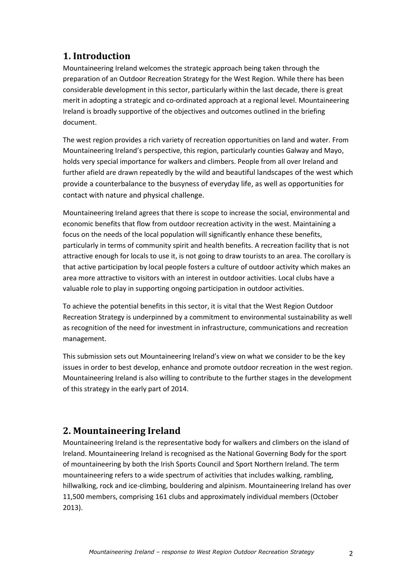# **1. Introduction**

Mountaineering Ireland welcomes the strategic approach being taken through the preparation of an Outdoor Recreation Strategy for the West Region. While there has been considerable development in this sector, particularly within the last decade, there is great merit in adopting a strategic and co-ordinated approach at a regional level. Mountaineering Ireland is broadly supportive of the objectives and outcomes outlined in the briefing document.

The west region provides a rich variety of recreation opportunities on land and water. From Mountaineering Ireland's perspective, this region, particularly counties Galway and Mayo, holds very special importance for walkers and climbers. People from all over Ireland and further afield are drawn repeatedly by the wild and beautiful landscapes of the west which provide a counterbalance to the busyness of everyday life, as well as opportunities for contact with nature and physical challenge.

Mountaineering Ireland agrees that there is scope to increase the social, environmental and economic benefits that flow from outdoor recreation activity in the west. Maintaining a focus on the needs of the local population will significantly enhance these benefits, particularly in terms of community spirit and health benefits. A recreation facility that is not attractive enough for locals to use it, is not going to draw tourists to an area. The corollary is that active participation by local people fosters a culture of outdoor activity which makes an area more attractive to visitors with an interest in outdoor activities. Local clubs have a valuable role to play in supporting ongoing participation in outdoor activities.

To achieve the potential benefits in this sector, it is vital that the West Region Outdoor Recreation Strategy is underpinned by a commitment to environmental sustainability as well as recognition of the need for investment in infrastructure, communications and recreation management.

This submission sets out Mountaineering Ireland's view on what we consider to be the key issues in order to best develop, enhance and promote outdoor recreation in the west region. Mountaineering Ireland is also willing to contribute to the further stages in the development of this strategy in the early part of 2014.

# **2. Mountaineering Ireland**

Mountaineering Ireland is the representative body for walkers and climbers on the island of Ireland. Mountaineering Ireland is recognised as the National Governing Body for the sport of mountaineering by both the Irish Sports Council and Sport Northern Ireland. The term mountaineering refers to a wide spectrum of activities that includes walking, rambling, hillwalking, rock and ice-climbing, bouldering and alpinism. Mountaineering Ireland has over 11,500 members, comprising 161 clubs and approximately individual members (October 2013).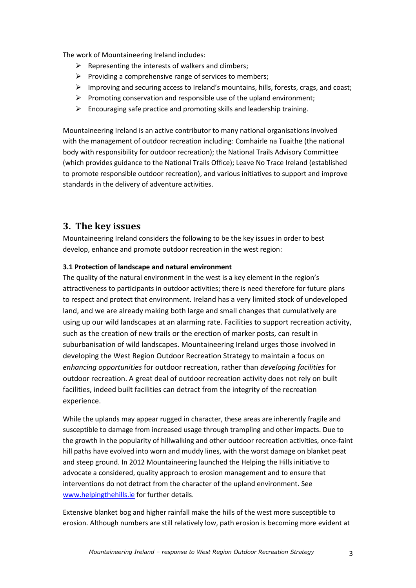The work of Mountaineering Ireland includes:

- $\triangleright$  Representing the interests of walkers and climbers;
- $\triangleright$  Providing a comprehensive range of services to members;
- Improving and securing access to Ireland's mountains, hills, forests, crags, and coast;
- $\triangleright$  Promoting conservation and responsible use of the upland environment;
- $\triangleright$  Encouraging safe practice and promoting skills and leadership training.

Mountaineering Ireland is an active contributor to many national organisations involved with the management of outdoor recreation including: Comhairle na Tuaithe (the national body with responsibility for outdoor recreation); the National Trails Advisory Committee (which provides guidance to the National Trails Office); Leave No Trace Ireland (established to promote responsible outdoor recreation), and various initiatives to support and improve standards in the delivery of adventure activities.

# **3. The key issues**

Mountaineering Ireland considers the following to be the key issues in order to best develop, enhance and promote outdoor recreation in the west region:

## **3.1 Protection of landscape and natural environment**

The quality of the natural environment in the west is a key element in the region's attractiveness to participants in outdoor activities; there is need therefore for future plans to respect and protect that environment. Ireland has a very limited stock of undeveloped land, and we are already making both large and small changes that cumulatively are using up our wild landscapes at an alarming rate. Facilities to support recreation activity, such as the creation of new trails or the erection of marker posts, can result in suburbanisation of wild landscapes. Mountaineering Ireland urges those involved in developing the West Region Outdoor Recreation Strategy to maintain a focus on *enhancing opportunities* for outdoor recreation, rather than *developing facilities* for outdoor recreation. A great deal of outdoor recreation activity does not rely on built facilities, indeed built facilities can detract from the integrity of the recreation experience.

While the uplands may appear rugged in character, these areas are inherently fragile and susceptible to damage from increased usage through trampling and other impacts. Due to the growth in the popularity of hillwalking and other outdoor recreation activities, once-faint hill paths have evolved into worn and muddy lines, with the worst damage on blanket peat and steep ground. In 2012 Mountaineering launched the Helping the Hills initiative to advocate a considered, quality approach to erosion management and to ensure that interventions do not detract from the character of the upland environment. See [www.helpingthehills.ie](http://www.helpingthehills.ie/) for further details.

Extensive blanket bog and higher rainfall make the hills of the west more susceptible to erosion. Although numbers are still relatively low, path erosion is becoming more evident at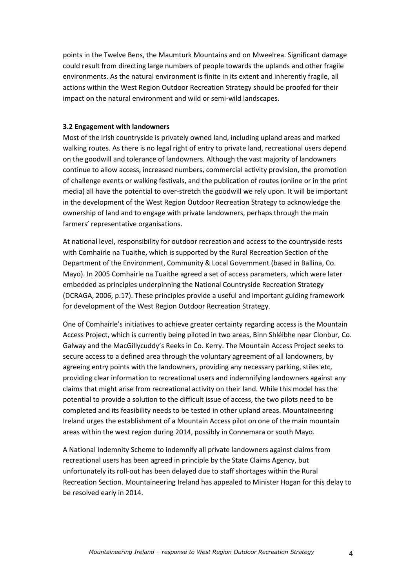points in the Twelve Bens, the Maumturk Mountains and on Mweelrea. Significant damage could result from directing large numbers of people towards the uplands and other fragile environments. As the natural environment is finite in its extent and inherently fragile, all actions within the West Region Outdoor Recreation Strategy should be proofed for their impact on the natural environment and wild or semi-wild landscapes.

### **3.2 Engagement with landowners**

Most of the Irish countryside is privately owned land, including upland areas and marked walking routes. As there is no legal right of entry to private land, recreational users depend on the goodwill and tolerance of landowners. Although the vast majority of landowners continue to allow access, increased numbers, commercial activity provision, the promotion of challenge events or walking festivals, and the publication of routes (online or in the print media) all have the potential to over-stretch the goodwill we rely upon. It will be important in the development of the West Region Outdoor Recreation Strategy to acknowledge the ownership of land and to engage with private landowners, perhaps through the main farmers' representative organisations.

At national level, responsibility for outdoor recreation and access to the countryside rests with Comhairle na Tuaithe, which is supported by the Rural Recreation Section of the Department of the Environment, Community & Local Government (based in Ballina, Co. Mayo). In 2005 Comhairle na Tuaithe agreed a set of access parameters, which were later embedded as principles underpinning the National Countryside Recreation Strategy (DCRAGA, 2006, p.17). These principles provide a useful and important guiding framework for development of the West Region Outdoor Recreation Strategy.

One of Comhairle's initiatives to achieve greater certainty regarding access is the Mountain Access Project, which is currently being piloted in two areas, Binn Shléibhe near Clonbur, Co. Galway and the MacGillycuddy's Reeks in Co. Kerry. The Mountain Access Project seeks to secure access to a defined area through the voluntary agreement of all landowners, by agreeing entry points with the landowners, providing any necessary parking, stiles etc, providing clear information to recreational users and indemnifying landowners against any claims that might arise from recreational activity on their land. While this model has the potential to provide a solution to the difficult issue of access, the two pilots need to be completed and its feasibility needs to be tested in other upland areas. Mountaineering Ireland urges the establishment of a Mountain Access pilot on one of the main mountain areas within the west region during 2014, possibly in Connemara or south Mayo.

A National Indemnity Scheme to indemnify all private landowners against claims from recreational users has been agreed in principle by the State Claims Agency, but unfortunately its roll-out has been delayed due to staff shortages within the Rural Recreation Section. Mountaineering Ireland has appealed to Minister Hogan for this delay to be resolved early in 2014.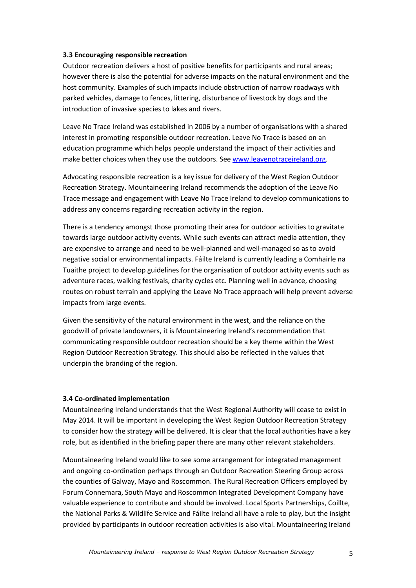### **3.3 Encouraging responsible recreation**

Outdoor recreation delivers a host of positive benefits for participants and rural areas; however there is also the potential for adverse impacts on the natural environment and the host community. Examples of such impacts include obstruction of narrow roadways with parked vehicles, damage to fences, littering, disturbance of livestock by dogs and the introduction of invasive species to lakes and rivers.

Leave No Trace Ireland was established in 2006 by a number of organisations with a shared interest in promoting responsible outdoor recreation. Leave No Trace is based on an education programme which helps people understand the impact of their activities and make better choices when they use the outdoors. See [www.leavenotraceireland.org.](http://www.leavenotraceireland.org/)

Advocating responsible recreation is a key issue for delivery of the West Region Outdoor Recreation Strategy. Mountaineering Ireland recommends the adoption of the Leave No Trace message and engagement with Leave No Trace Ireland to develop communications to address any concerns regarding recreation activity in the region.

There is a tendency amongst those promoting their area for outdoor activities to gravitate towards large outdoor activity events. While such events can attract media attention, they are expensive to arrange and need to be well-planned and well-managed so as to avoid negative social or environmental impacts. Fáilte Ireland is currently leading a Comhairle na Tuaithe project to develop guidelines for the organisation of outdoor activity events such as adventure races, walking festivals, charity cycles etc. Planning well in advance, choosing routes on robust terrain and applying the Leave No Trace approach will help prevent adverse impacts from large events.

Given the sensitivity of the natural environment in the west, and the reliance on the goodwill of private landowners, it is Mountaineering Ireland's recommendation that communicating responsible outdoor recreation should be a key theme within the West Region Outdoor Recreation Strategy. This should also be reflected in the values that underpin the branding of the region.

### **3.4 Co-ordinated implementation**

Mountaineering Ireland understands that the West Regional Authority will cease to exist in May 2014. It will be important in developing the West Region Outdoor Recreation Strategy to consider how the strategy will be delivered. It is clear that the local authorities have a key role, but as identified in the briefing paper there are many other relevant stakeholders.

Mountaineering Ireland would like to see some arrangement for integrated management and ongoing co-ordination perhaps through an Outdoor Recreation Steering Group across the counties of Galway, Mayo and Roscommon. The Rural Recreation Officers employed by Forum Connemara, South Mayo and Roscommon Integrated Development Company have valuable experience to contribute and should be involved. Local Sports Partnerships, Coillte, the National Parks & Wildlife Service and Fáilte Ireland all have a role to play, but the insight provided by participants in outdoor recreation activities is also vital. Mountaineering Ireland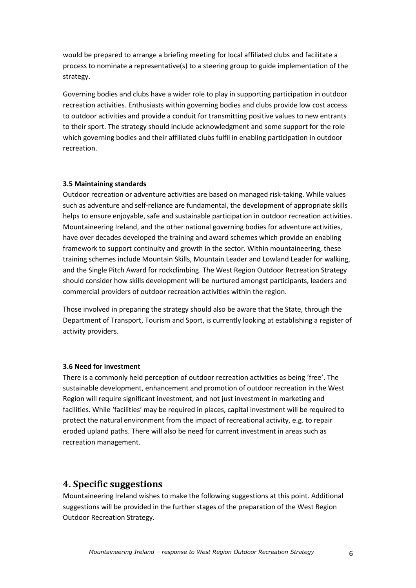would be prepared to arrange a briefing meeting for local affiliated clubs and facilitate a process to nominate a representative(s) to a steering group to guide implementation of the strategy.

Governing bodies and clubs have a wider role to play in supporting participation in outdoor recreation activities. Enthusiasts within governing bodies and clubs provide low cost access to outdoor activities and provide a conduit for transmitting positive values to new entrants to their sport. The strategy should include acknowledgment and some support for the role which governing bodies and their affiliated clubs fulfil in enabling participation in outdoor recreation.

### **3.5 Maintaining standards**

Outdoor recreation or adventure activities are based on managed risk-taking. While values such as adventure and self-reliance are fundamental, the development of appropriate skills helps to ensure enjoyable, safe and sustainable participation in outdoor recreation activities. Mountaineering Ireland, and the other national governing bodies for adventure activities, have over decades developed the training and award schemes which provide an enabling framework to support continuity and growth in the sector. Within mountaineering, these training schemes include Mountain Skills, Mountain Leader and Lowland Leader for walking, and the Single Pitch Award for rockclimbing. The West Region Outdoor Recreation Strategy should consider how skills development will be nurtured amongst participants, leaders and commercial providers of outdoor recreation activities within the region.

Those involved in preparing the strategy should also be aware that the State, through the Department of Transport, Tourism and Sport, is currently looking at establishing a register of activity providers.

### **3.6 Need for investment**

There is a commonly held perception of outdoor recreation activities as being 'free'. The sustainable development, enhancement and promotion of outdoor recreation in the West Region will require significant investment, and not just investment in marketing and facilities. While 'facilities' may be required in places, capital investment will be required to protect the natural environment from the impact of recreational activity, e.g. to repair eroded upland paths. There will also be need for current investment in areas such as recreation management.

# **4. Specific suggestions**

Mountaineering Ireland wishes to make the following suggestions at this point. Additional suggestions will be provided in the further stages of the preparation of the West Region Outdoor Recreation Strategy.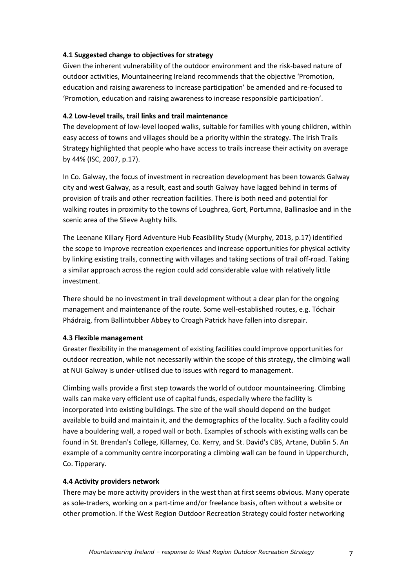## **4.1 Suggested change to objectives for strategy**

Given the inherent vulnerability of the outdoor environment and the risk-based nature of outdoor activities, Mountaineering Ireland recommends that the objective 'Promotion, education and raising awareness to increase participation' be amended and re-focused to 'Promotion, education and raising awareness to increase responsible participation'.

## **4.2 Low-level trails, trail links and trail maintenance**

The development of low-level looped walks, suitable for families with young children, within easy access of towns and villages should be a priority within the strategy. The Irish Trails Strategy highlighted that people who have access to trails increase their activity on average by 44% (ISC, 2007, p.17).

In Co. Galway, the focus of investment in recreation development has been towards Galway city and west Galway, as a result, east and south Galway have lagged behind in terms of provision of trails and other recreation facilities. There is both need and potential for walking routes in proximity to the towns of Loughrea, Gort, Portumna, Ballinasloe and in the scenic area of the Slieve Aughty hills.

The Leenane Killary Fjord Adventure Hub Feasibility Study (Murphy, 2013, p.17) identified the scope to improve recreation experiences and increase opportunities for physical activity by linking existing trails, connecting with villages and taking sections of trail off-road. Taking a similar approach across the region could add considerable value with relatively little investment.

There should be no investment in trail development without a clear plan for the ongoing management and maintenance of the route. Some well-established routes, e.g. Tóchair Phádraig, from Ballintubber Abbey to Croagh Patrick have fallen into disrepair.

### **4.3 Flexible management**

Greater flexibility in the management of existing facilities could improve opportunities for outdoor recreation, while not necessarily within the scope of this strategy, the climbing wall at NUI Galway is under-utilised due to issues with regard to management.

Climbing walls provide a first step towards the world of outdoor mountaineering. Climbing walls can make very efficient use of capital funds, especially where the facility is incorporated into existing buildings. The size of the wall should depend on the budget available to build and maintain it, and the demographics of the locality. Such a facility could have a bouldering wall, a roped wall or both. Examples of schools with existing walls can be found in St. Brendan's College, Killarney, Co. Kerry, and St. David's CBS, Artane, Dublin 5. An example of a community centre incorporating a climbing wall can be found in Upperchurch, Co. Tipperary.

### **4.4 Activity providers network**

There may be more activity providers in the west than at first seems obvious. Many operate as sole-traders, working on a part-time and/or freelance basis, often without a website or other promotion. If the West Region Outdoor Recreation Strategy could foster networking